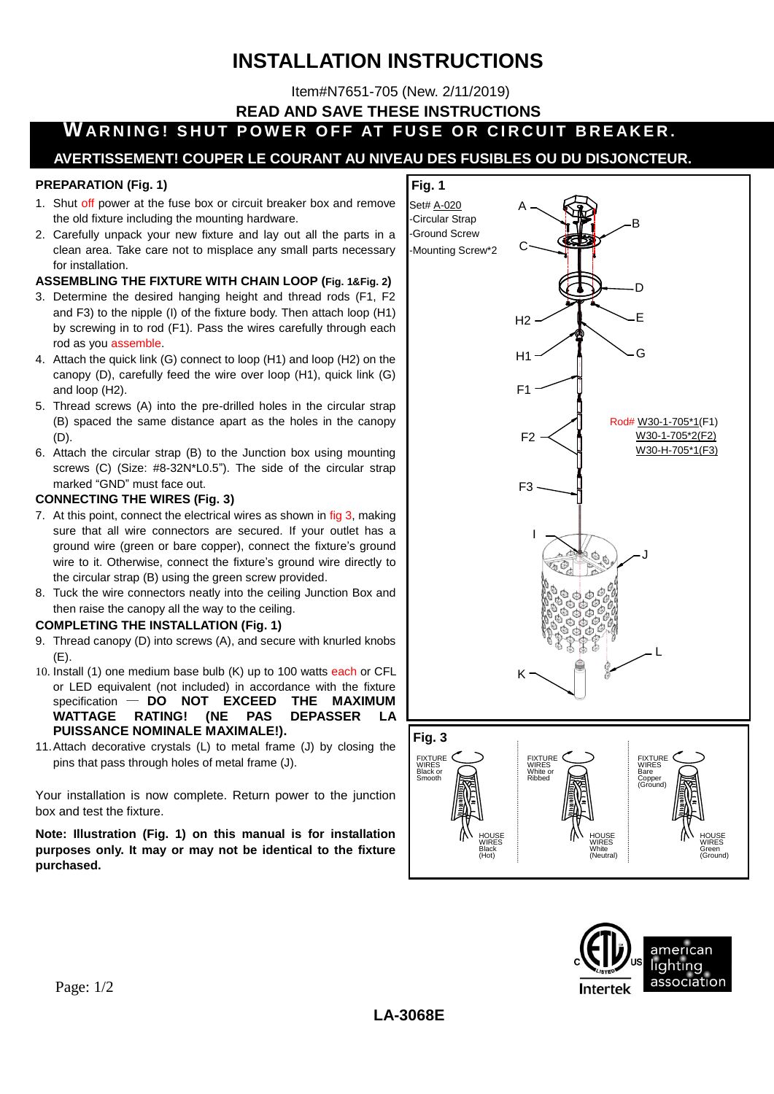# **INSTALLATION INSTRUCTIONS**

Item#N7651-705 (New. 2/11/2019)

**READ AND SAVE THESE INSTRUCTIONS**

**WARNING! SHUT POWER OFF AT FUSE OR CIRCUIT BREAKER.** 

## **AVERTISSEMENT! COUPER LE COURANT AU NIVEAU DES FUSIBLES OU DU DISJONCTEUR.**

#### **PREPARATION (Fig. 1)**

- 1. Shut off power at the fuse box or circuit breaker box and remove the old fixture including the mounting hardware.
- 2. Carefully unpack your new fixture and lay out all the parts in a clean area. Take care not to misplace any small parts necessary for installation.

### **ASSEMBLING THE FIXTURE WITH CHAIN LOOP (Fig. 1&Fig. 2)**

- 3. Determine the desired hanging height and thread rods (F1, F2 and F3) to the nipple (I) of the fixture body. Then attach loop (H1) by screwing in to rod (F1). Pass the wires carefully through each rod as you assemble.
- 4. Attach the quick link (G) connect to loop (H1) and loop (H2) on the canopy (D), carefully feed the wire over loop (H1), quick link (G) and loop (H2).
- 5. Thread screws (A) into the pre-drilled holes in the circular strap (B) spaced the same distance apart as the holes in the canopy (D).
- 6. Attach the circular strap (B) to the Junction box using mounting screws (C) (Size: #8-32N\*L0.5"). The side of the circular strap marked "GND" must face out.

#### **CONNECTING THE WIRES (Fig. 3)**

- 7. At this point, connect the electrical wires as shown in fig 3, making sure that all wire connectors are secured. If your outlet has a ground wire (green or bare copper), connect the fixture's ground wire to it. Otherwise, connect the fixture's ground wire directly to the circular strap (B) using the green screw provided.
- 8. Tuck the wire connectors neatly into the ceiling Junction Box and then raise the canopy all the way to the ceiling.

#### **COMPLETING THE INSTALLATION (Fig. 1)**

- 9. Thread canopy (D) into screws (A), and secure with knurled knobs  $(F)$ .
- 10. Install (1) one medium base bulb (K) up to 100 watts each or CFL or LED equivalent (not included) in accordance with the fixture specification — **DO NOT EXCEED THE MAXIMUM WATTAGE RATING! (NE PAS DEPASSER LA PUISSANCE NOMINALE MAXIMALE!).**
- 11.Attach decorative crystals (L) to metal frame (J) by closing the pins that pass through holes of metal frame (J).

Your installation is now complete. Return power to the junction box and test the fixture.

**Note: Illustration (Fig. 1) on this manual is for installation purposes only. It may or may not be identical to the fixture purchased.**